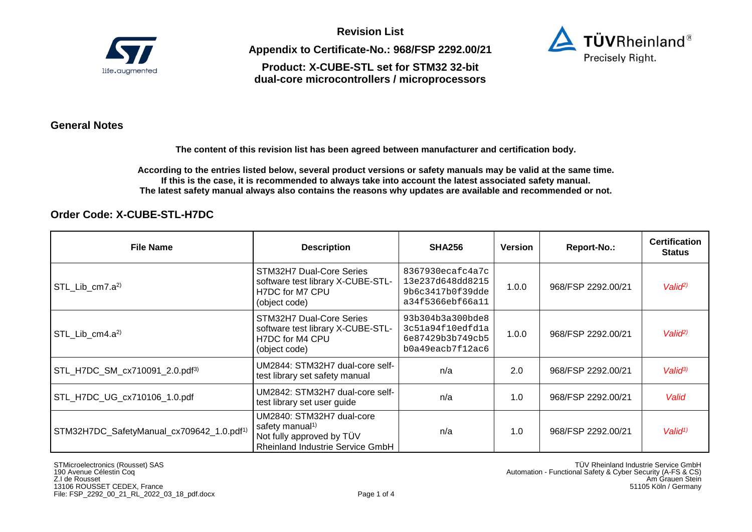

**Appendix to Certificate-No.: 968/FSP 2292.00/21** 

**Product: X-CUBE-STL set for STM32 32-bit dual-core microcontrollers / microprocessors** 



### **General Notes**

**The content of this revision list has been agreed between manufacturer and certification body.** 

**According to the entries listed below, several product versions or safety manuals may be valid at the same time. If this is the case, it is recommended to always take into account the latest associated safety manual. The latest safety manual always also contains the reasons why updates are available and recommended or not.**

## **Order Code: X-CUBE-STL-H7DC**

| <b>File Name</b>                                      | <b>Description</b>                                                                                                        | <b>SHA256</b>                                                                | Version | Report-No.:        | <b>Certification</b><br>Status |
|-------------------------------------------------------|---------------------------------------------------------------------------------------------------------------------------|------------------------------------------------------------------------------|---------|--------------------|--------------------------------|
| STL_Lib_cm7.a <sup>2)</sup>                           | STM32H7 Dual-Core Series<br>software test library X-CUBE-STL-<br>H7DC for M7 CPU<br>(object code)                         | 8367930ecafc4a7c<br>13e237d648dd8215<br>9b6c3417b0f39dde<br>a34f5366ebf66a11 | 1.0.0   | 968/FSP 2292.00/21 | Valio <sup>p</sup>             |
| $STL_Lib_{cm}4.a2$                                    | STM32H7 Dual-Core Series<br>software test library X-CUBE-STL-<br>H7DC for M4 CPU<br>(object code)                         | 93b304b3a300bde8<br>3c51a94f10edfd1a<br>6e87429b3b749cb5<br>b0a49eacb7f12ac6 | 1.0.0   | 968/FSP 2292.00/21 | Valid <sup>2)</sup>            |
| STL_H7DC_SM_cx710091_2.0.pdf <sup>3)</sup>            | UM2844: STM32H7 dual-core self-<br>test library set safety manual                                                         | n/a                                                                          | 2.0     | 968/FSP 2292.00/21 | Valid <sup>3</sup>             |
| STL_H7DC_UG_cx710106_1.0.pdf                          | UM2842: STM32H7 dual-core self-<br>test library set user guide                                                            | n/a                                                                          | 1.0     | 968/FSP 2292.00/21 | Valid                          |
| STM32H7DC_SafetyManual_cx709642_1.0.pdf <sup>1)</sup> | UM2840: STM32H7 dual-core<br>safety manual <sup>1)</sup><br>Not fully approved by TÜV<br>Rheinland Industrie Service GmbH | n/a                                                                          | 1.0     | 968/FSP 2292.00/21 | Valid <sup>1</sup>             |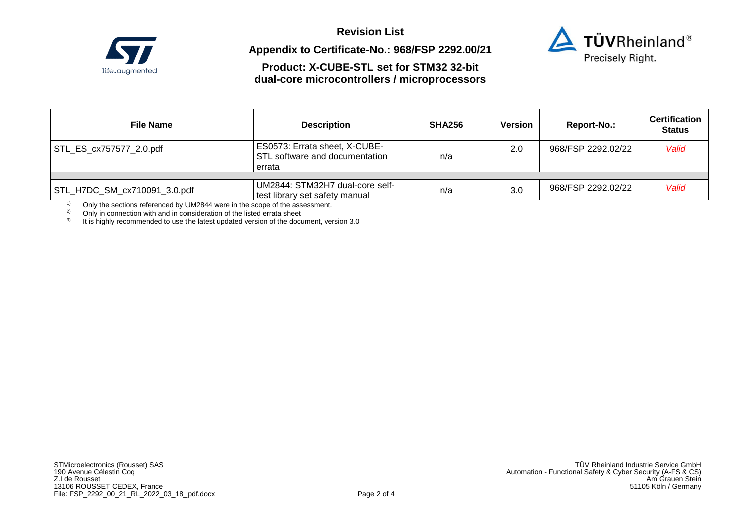

# **Appendix to Certificate-No.: 968/FSP 2292.00/21**



# **Product: X-CUBE-STL set for STM32 32-bit dual-core microcontrollers / microprocessors**

| <b>File Name</b>             | <b>Description</b>                                                        | <b>SHA256</b> | Version | Report-No.:        | <b>Certification</b><br><b>Status</b> |
|------------------------------|---------------------------------------------------------------------------|---------------|---------|--------------------|---------------------------------------|
| STL_ES_cx757577_2.0.pdf      | ES0573: Errata sheet, X-CUBE-<br>STL software and documentation<br>errata | n/a           | 2.0     | 968/FSP 2292.02/22 | Valid                                 |
| STL_H7DC_SM_cx710091_3.0.pdf | UM2844: STM32H7 dual-core self-                                           | n/a           | 3.0     | 968/FSP 2292.02/22 | Valid                                 |
|                              | test library set safety manual                                            |               |         |                    |                                       |

<sup>1)</sup> Only the sections referenced by UM2844 were in the scope of the assessment.

 $2^2$  Only in connection with and in consideration of the listed errata sheet

 $3$  It is highly recommended to use the latest updated version of the document, version 3.0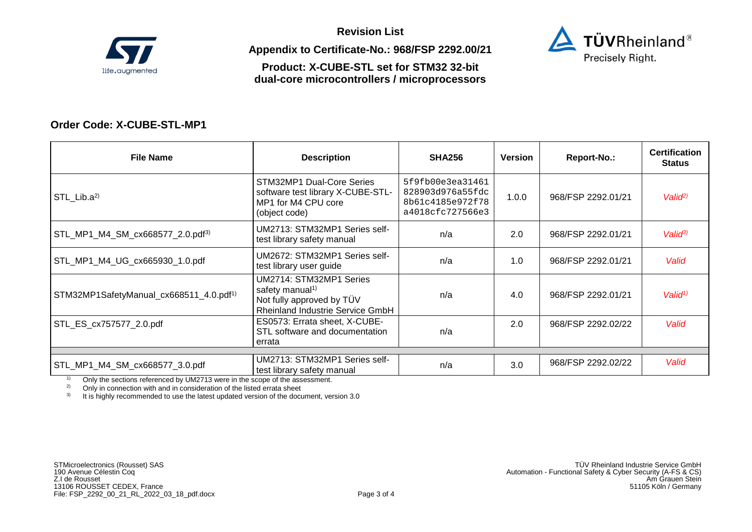

**Appendix to Certificate-No.: 968/FSP 2292.00/21** 

**Product: X-CUBE-STL set for STM32 32-bit dual-core microcontrollers / microprocessors** 



## **Order Code: X-CUBE-STL-MP1**

| <b>File Name</b>                                    | <b>Description</b>                                                                                                             | <b>SHA256</b>                                                                | Version | Report-No.:        | <b>Certification</b><br><b>Status</b> |
|-----------------------------------------------------|--------------------------------------------------------------------------------------------------------------------------------|------------------------------------------------------------------------------|---------|--------------------|---------------------------------------|
| STL Lib. $a^{2}$                                    | STM32MP1 Dual-Core Series<br>software test library X-CUBE-STL-<br>MP1 for M4 CPU core<br>(object code)                         | 5f9fb00e3ea31461<br>828903d976a55fdc<br>8b61c4185e972f78<br>a4018cfc727566e3 | 1.0.0   | 968/FSP 2292.01/21 | Valio <sup>p</sup>                    |
| STL_MP1_M4_SM_cx668577_2.0.pdf <sup>3)</sup>        | UM2713: STM32MP1 Series self-<br>test library safety manual                                                                    | n/a                                                                          | 2.0     | 968/FSP 2292.01/21 | Valid <sup>3</sup>                    |
| STL_MP1_M4_UG_cx665930_1.0.pdf                      | UM2672: STM32MP1 Series self-<br>test library user guide                                                                       | n/a                                                                          | 1.0     | 968/FSP 2292.01/21 | Valid                                 |
| STM32MP1SafetyManual_cx668511_4.0.pdf <sup>1)</sup> | UM2714: STM32MP1 Series<br>safety manual <sup>1)</sup><br>Not fully approved by TÜV<br><b>Rheinland Industrie Service GmbH</b> | n/a                                                                          | 4.0     | 968/FSP 2292.01/21 | Valid <sup>1</sup>                    |
| STL_ES_cx757577_2.0.pdf                             | ES0573: Errata sheet, X-CUBE-<br>STL software and documentation<br>errata                                                      | n/a                                                                          | 2.0     | 968/FSP 2292.02/22 | Valid                                 |
|                                                     | UM2713: STM32MP1 Series self-                                                                                                  |                                                                              |         |                    |                                       |
| STL_MP1_M4_SM_cx668577_3.0.pdf                      | test library safety manual                                                                                                     | n/a                                                                          | 3.0     | 968/FSP 2292.02/22 | Valid                                 |

<sup>1)</sup> Only the sections referenced by UM2713 were in the scope of the assessment.<br><sup>2)</sup> Only in connection with and in consideration of the listed errata sheet

<sup>2)</sup> Only in connection with and in consideration of the listed errata sheet  $\frac{3}{10}$  It is highly recommended to use the latest undated version of the document

It is highly recommended to use the latest updated version of the document, version 3.0